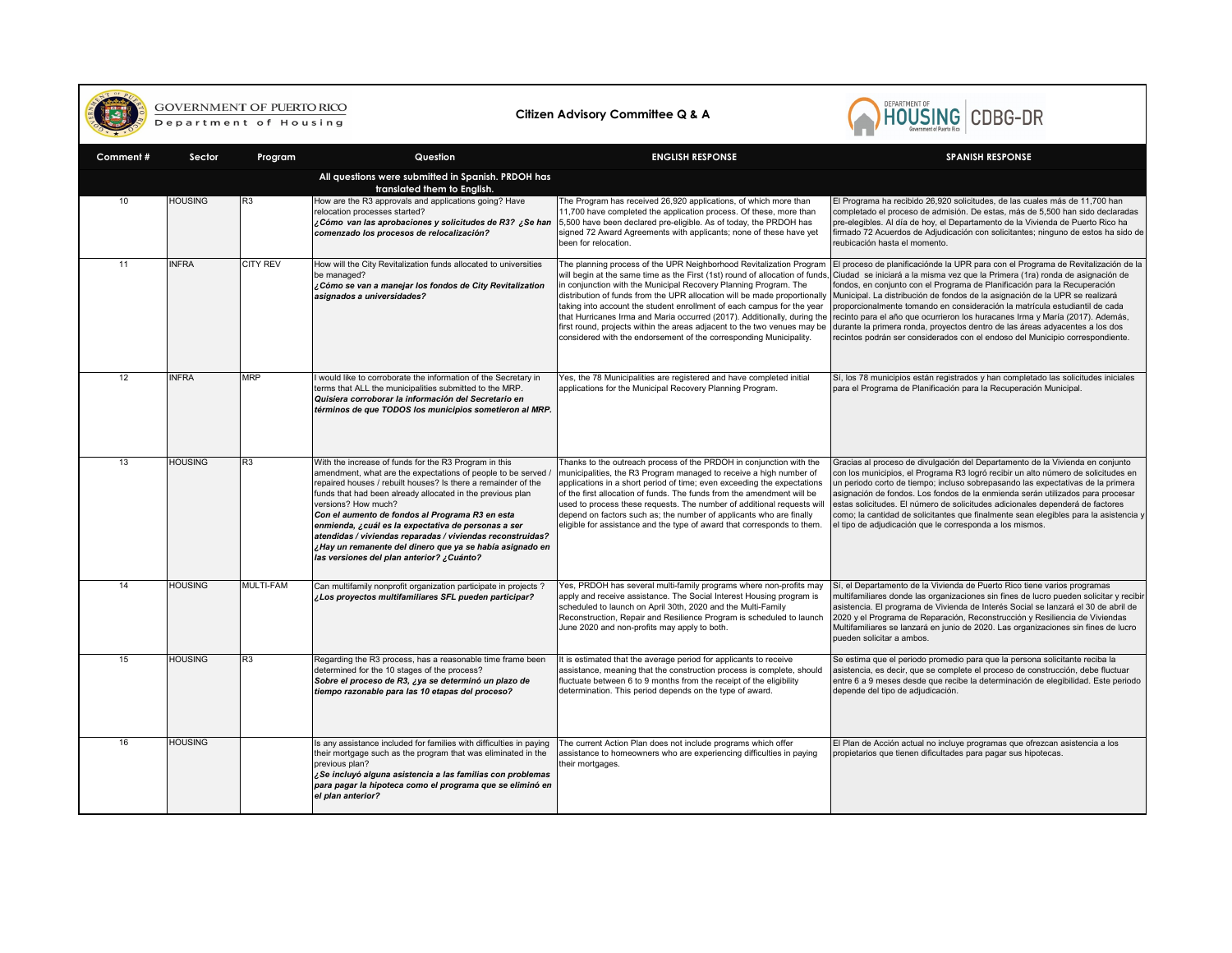

## GOVERNMENT OF PUERTO RICO

## **Citizen Advisory Committee Q & A**



| Comment# | Sector         | Program         | Question                                                                                                                                                                                                                                                                                                                                                                                                                                                                                                                                                    | <b>ENGLISH RESPONSE</b>                                                                                                                                                                                                                                                                                                                                                                                                                                                                                                                                                                                     | <b>SPANISH RESPONSE</b>                                                                                                                                                                                                                                                                                                                                                                                                                                                                                                                                                                                                                                          |
|----------|----------------|-----------------|-------------------------------------------------------------------------------------------------------------------------------------------------------------------------------------------------------------------------------------------------------------------------------------------------------------------------------------------------------------------------------------------------------------------------------------------------------------------------------------------------------------------------------------------------------------|-------------------------------------------------------------------------------------------------------------------------------------------------------------------------------------------------------------------------------------------------------------------------------------------------------------------------------------------------------------------------------------------------------------------------------------------------------------------------------------------------------------------------------------------------------------------------------------------------------------|------------------------------------------------------------------------------------------------------------------------------------------------------------------------------------------------------------------------------------------------------------------------------------------------------------------------------------------------------------------------------------------------------------------------------------------------------------------------------------------------------------------------------------------------------------------------------------------------------------------------------------------------------------------|
|          |                |                 | All questions were submitted in Spanish. PRDOH has<br>translated them to English.                                                                                                                                                                                                                                                                                                                                                                                                                                                                           |                                                                                                                                                                                                                                                                                                                                                                                                                                                                                                                                                                                                             |                                                                                                                                                                                                                                                                                                                                                                                                                                                                                                                                                                                                                                                                  |
| 10       | <b>HOUSING</b> | R3              | How are the R3 approvals and applications going? Have<br>relocation processes started?<br>¿Cómo van las aprobaciones y solicitudes de R3? ¿Se han<br>comenzado los procesos de relocalización?                                                                                                                                                                                                                                                                                                                                                              | The Program has received 26,920 applications, of which more than<br>11,700 have completed the application process. Of these, more than<br>5,500 have been declared pre-eligible. As of today, the PRDOH has<br>signed 72 Award Agreements with applicants; none of these have yet<br>been for relocation.                                                                                                                                                                                                                                                                                                   | El Programa ha recibido 26,920 solicitudes, de las cuales más de 11,700 han<br>completado el proceso de admisión. De estas, más de 5,500 han sido declaradas<br>pre-elegibles. Al día de hoy, el Departamento de la Vivienda de Puerto Rico ha<br>firmado 72 Acuerdos de Adjudicación con solicitantes; ninguno de estos ha sido de<br>reubicación hasta el momento.                                                                                                                                                                                                                                                                                             |
| 11       | <b>INFRA</b>   | <b>CITY REV</b> | How will the City Revitalization funds allocated to universities<br>be managed?<br>¿Cómo se van a manejar los fondos de City Revitalization<br>asignados a universidades?                                                                                                                                                                                                                                                                                                                                                                                   | The planning process of the UPR Neighborhood Revitalization Program<br>will begin at the same time as the First (1st) round of allocation of funds<br>in conjunction with the Municipal Recovery Planning Program. The<br>distribution of funds from the UPR allocation will be made proportionally<br>taking into account the student enrollment of each campus for the year<br>that Hurricanes Irma and Maria occurred (2017). Additionally, during the<br>first round, projects within the areas adjacent to the two venues may be<br>considered with the endorsement of the corresponding Municipality. | El proceso de planificaciónde la UPR para con el Programa de Revitalización de la<br>Ciudad se iniciará a la misma vez que la Primera (1ra) ronda de asignación de<br>fondos, en conjunto con el Programa de Planificación para la Recuperación<br>Municipal. La distribución de fondos de la asignación de la UPR se realizará<br>proporcionalmente tomando en consideración la matrícula estudiantil de cada<br>recinto para el año que ocurrieron los huracanes Irma y María (2017). Además,<br>durante la primera ronda, proyectos dentro de las áreas adyacentes a los dos<br>recintos podrán ser considerados con el endoso del Municipio correspondiente. |
| 12       | <b>INFRA</b>   | <b>MRP</b>      | I would like to corroborate the information of the Secretary in<br>terms that ALL the municipalities submitted to the MRP.<br>Quisiera corroborar la información del Secretario en<br>términos de que TODOS los municipios sometieron al MRP.                                                                                                                                                                                                                                                                                                               | Yes, the 78 Municipalities are registered and have completed initial<br>applications for the Municipal Recovery Planning Program.                                                                                                                                                                                                                                                                                                                                                                                                                                                                           | Sí, los 78 municipios están registrados y han completado las solicitudes iniciales<br>para el Programa de Planificación para la Recuperación Municipal.                                                                                                                                                                                                                                                                                                                                                                                                                                                                                                          |
| 13       | <b>HOUSING</b> | R3              | With the increase of funds for the R3 Program in this<br>amendment, what are the expectations of people to be served<br>repaired houses / rebuilt houses? Is there a remainder of the<br>funds that had been already allocated in the previous plan<br>versions? How much?<br>Con el aumento de fondos al Programa R3 en esta<br>enmienda, ¿cuál es la expectativa de personas a ser<br>atendidas / viviendas reparadas / viviendas reconstruidas?<br>¿Hay un remanente del dinero que ya se había asignado en<br>las versiones del plan anterior? ¿Cuánto? | Thanks to the outreach process of the PRDOH in conjunction with the<br>municipalities, the R3 Program managed to receive a high number of<br>applications in a short period of time; even exceeding the expectations<br>of the first allocation of funds. The funds from the amendment will be<br>used to process these requests. The number of additional requests will<br>depend on factors such as; the number of applicants who are finally<br>eligible for assistance and the type of award that corresponds to them.                                                                                  | Gracias al proceso de divulgación del Departamento de la Vivienda en conjunto<br>con los municipios, el Programa R3 logró recibir un alto número de solicitudes en<br>un periodo corto de tiempo; incluso sobrepasando las expectativas de la primera<br>asignación de fondos. Los fondos de la enmienda serán utilizados para procesar<br>estas solicitudes. El número de solicitudes adicionales dependerá de factores<br>como; la cantidad de solicitantes que finalmente sean elegibles para la asistencia y<br>el tipo de adjudicación que le corresponda a los mismos.                                                                                     |
| 14       | <b>HOUSING</b> | MULTI-FAM       | Can multifamily nonprofit organization participate in projects ?<br>¿Los proyectos multifamiliares SFL pueden participar?                                                                                                                                                                                                                                                                                                                                                                                                                                   | Yes, PRDOH has several multi-family programs where non-profits may<br>apply and receive assistance. The Social Interest Housing program is<br>scheduled to launch on April 30th, 2020 and the Multi-Family<br>Reconstruction, Repair and Resilience Program is scheduled to launch<br>June 2020 and non-profits may apply to both.                                                                                                                                                                                                                                                                          | Sí, el Departamento de la Vivienda de Puerto Rico tiene varios programas<br>multifamiliares donde las organizaciones sin fines de lucro pueden solicitar y recibir<br>asistencia. El programa de Vivienda de Interés Social se lanzará el 30 de abril de<br>2020 y el Programa de Reparación, Reconstrucción y Resiliencia de Viviendas<br>Multifamiliares se lanzará en junio de 2020. Las organizaciones sin fines de lucro<br>pueden solicitar a ambos.                                                                                                                                                                                                       |
| 15       | <b>HOUSING</b> | R <sub>3</sub>  | Regarding the R3 process, has a reasonable time frame been<br>determined for the 10 stages of the process?<br>Sobre el proceso de R3, ¿ya se determinó un plazo de<br>tiempo razonable para las 10 etapas del proceso?                                                                                                                                                                                                                                                                                                                                      | It is estimated that the average period for applicants to receive<br>assistance, meaning that the construction process is complete, should<br>fluctuate between 6 to 9 months from the receipt of the eligibility<br>determination. This period depends on the type of award.                                                                                                                                                                                                                                                                                                                               | Se estima que el periodo promedio para que la persona solicitante reciba la<br>asistencia, es decir, que se complete el proceso de construcción, debe fluctuar<br>entre 6 a 9 meses desde que recibe la determinación de elegibilidad. Este periodo<br>depende del tipo de adjudicación.                                                                                                                                                                                                                                                                                                                                                                         |
| 16       | <b>HOUSING</b> |                 | Is any assistance included for families with difficulties in paying<br>their mortgage such as the program that was eliminated in the<br>previous plan?<br>¿Se incluyó alguna asistencia a las familias con problemas<br>para pagar la hipoteca como el programa que se eliminó en<br>el plan anterior?                                                                                                                                                                                                                                                      | The current Action Plan does not include programs which offer<br>assistance to homeowners who are experiencing difficulties in paying<br>their mortgages.                                                                                                                                                                                                                                                                                                                                                                                                                                                   | El Plan de Acción actual no incluye programas que ofrezcan asistencia a los<br>propietarios que tienen dificultades para pagar sus hipotecas.                                                                                                                                                                                                                                                                                                                                                                                                                                                                                                                    |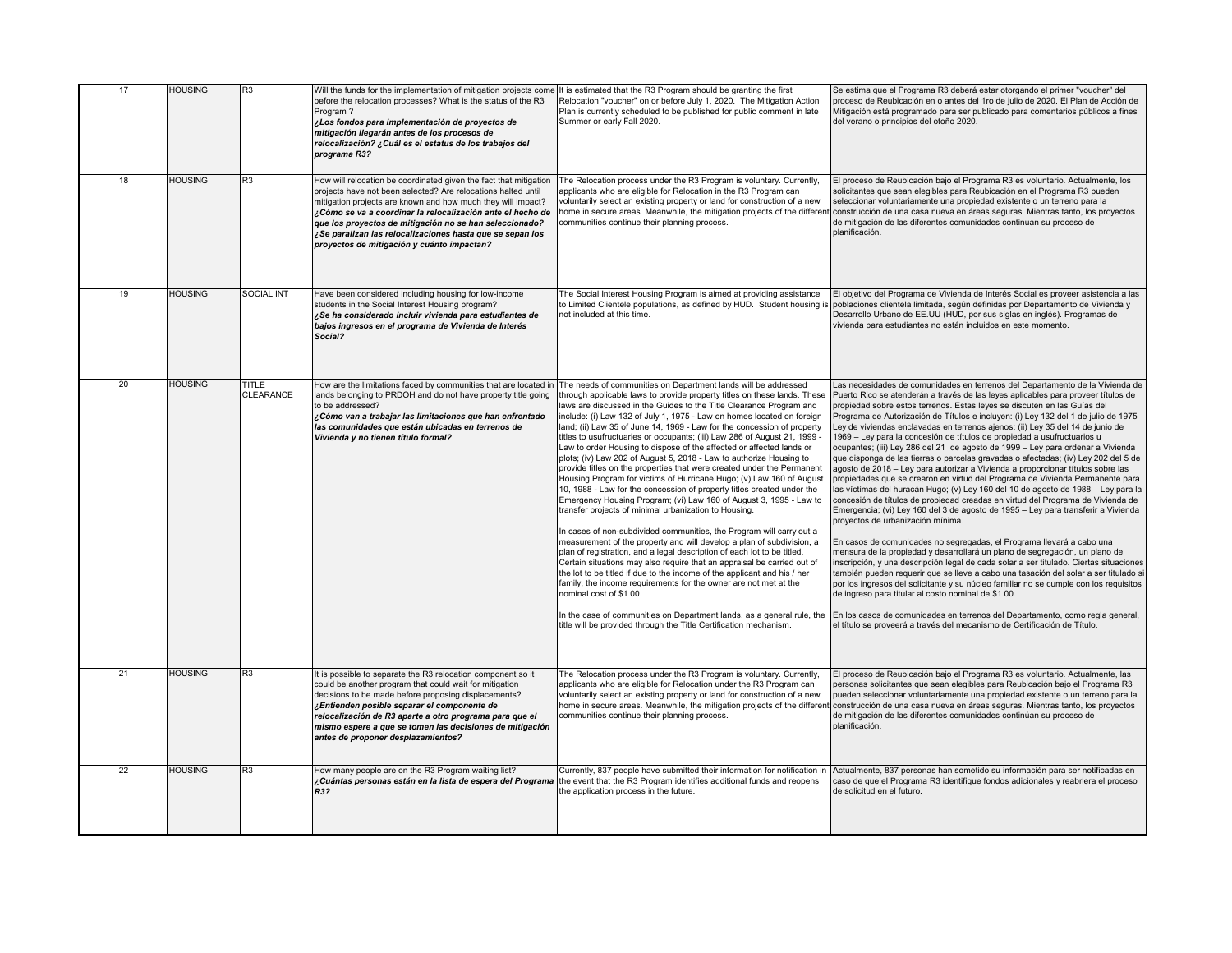| 17              | <b>HOUSING</b> | R3                               | Will the funds for the implementation of mitigation projects come It is estimated that the R3 Program should be granting the first<br>before the relocation processes? What is the status of the R3<br>Program?<br>¿Los fondos para implementación de proyectos de<br>mitigación llegarán antes de los procesos de<br>relocalización? ¿Cuál es el estatus de los trabajos del<br>programa R3?                                         | Relocation "voucher" on or before July 1, 2020. The Mitigation Action<br>Plan is currently scheduled to be published for public comment in late<br>Summer or early Fall 2020.                                                                                                                                                                                                                                                                                                                                                                                                                                                                                                                                                                                                                                                                                                                                                                                                                                                                                                                                                                                                                                                                                                                                                                                                                                                                                                                                                                                                                  | Se estima que el Programa R3 deberá estar otorgando el primer "voucher" del<br>proceso de Reubicación en o antes del 1ro de julio de 2020. El Plan de Acción de<br>Mitigación está programado para ser publicado para comentarios públicos a fines<br>del verano o principios del otoño 2020.                                                                                                                                                                                                                                                                                                                                                                                                                                                                                                                                                                                                                                                                                                                                                                                                                                                                                                                                                                                                                                                                                                                                                                                                                                                                                                                                                                                                                                                                                                             |
|-----------------|----------------|----------------------------------|---------------------------------------------------------------------------------------------------------------------------------------------------------------------------------------------------------------------------------------------------------------------------------------------------------------------------------------------------------------------------------------------------------------------------------------|------------------------------------------------------------------------------------------------------------------------------------------------------------------------------------------------------------------------------------------------------------------------------------------------------------------------------------------------------------------------------------------------------------------------------------------------------------------------------------------------------------------------------------------------------------------------------------------------------------------------------------------------------------------------------------------------------------------------------------------------------------------------------------------------------------------------------------------------------------------------------------------------------------------------------------------------------------------------------------------------------------------------------------------------------------------------------------------------------------------------------------------------------------------------------------------------------------------------------------------------------------------------------------------------------------------------------------------------------------------------------------------------------------------------------------------------------------------------------------------------------------------------------------------------------------------------------------------------|-----------------------------------------------------------------------------------------------------------------------------------------------------------------------------------------------------------------------------------------------------------------------------------------------------------------------------------------------------------------------------------------------------------------------------------------------------------------------------------------------------------------------------------------------------------------------------------------------------------------------------------------------------------------------------------------------------------------------------------------------------------------------------------------------------------------------------------------------------------------------------------------------------------------------------------------------------------------------------------------------------------------------------------------------------------------------------------------------------------------------------------------------------------------------------------------------------------------------------------------------------------------------------------------------------------------------------------------------------------------------------------------------------------------------------------------------------------------------------------------------------------------------------------------------------------------------------------------------------------------------------------------------------------------------------------------------------------------------------------------------------------------------------------------------------------|
| 18              | <b>HOUSING</b> | R3                               | How will relocation be coordinated given the fact that mitigation<br>projects have not been selected? Are relocations halted until<br>mitigation projects are known and how much they will impact?<br>Cómo se va a coordinar la relocalización ante el hecho de<br>que los proyectos de mitigación no se han seleccionado?<br>¿Se paralizan las relocalizaciones hasta que se sepan los<br>proyectos de mitigación y cuánto impactan? | The Relocation process under the R3 Program is voluntary. Currently,<br>applicants who are eligible for Relocation in the R3 Program can<br>voluntarily select an existing property or land for construction of a new<br>home in secure areas. Meanwhile, the mitigation projects of the differen<br>communities continue their planning process.                                                                                                                                                                                                                                                                                                                                                                                                                                                                                                                                                                                                                                                                                                                                                                                                                                                                                                                                                                                                                                                                                                                                                                                                                                              | El proceso de Reubicación bajo el Programa R3 es voluntario. Actualmente, los<br>solicitantes que sean elegibles para Reubicación en el Programa R3 pueden<br>seleccionar voluntariamente una propiedad existente o un terreno para la<br>construcción de una casa nueva en áreas seguras. Mientras tanto, los proyectos<br>de mitigación de las diferentes comunidades continuan su proceso de<br>planificación.                                                                                                                                                                                                                                                                                                                                                                                                                                                                                                                                                                                                                                                                                                                                                                                                                                                                                                                                                                                                                                                                                                                                                                                                                                                                                                                                                                                         |
| 19              | <b>HOUSING</b> | <b>SOCIAL INT</b>                | Have been considered including housing for low-income<br>students in the Social Interest Housing program?<br>Se ha considerado incluir vivienda para estudiantes de<br>bajos ingresos en el programa de Vivienda de Interés<br>Social?                                                                                                                                                                                                | The Social Interest Housing Program is aimed at providing assistance<br>to Limited Clientele populations, as defined by HUD. Student housing is<br>not included at this time.                                                                                                                                                                                                                                                                                                                                                                                                                                                                                                                                                                                                                                                                                                                                                                                                                                                                                                                                                                                                                                                                                                                                                                                                                                                                                                                                                                                                                  | El objetivo del Programa de Vivienda de Interés Social es proveer asistencia a las<br>poblaciones clientela limitada, según definidas por Departamento de Vivienda y<br>Desarrollo Urbano de EE.UU (HUD, por sus siglas en inglés). Programas de<br>vivienda para estudiantes no están incluidos en este momento.                                                                                                                                                                                                                                                                                                                                                                                                                                                                                                                                                                                                                                                                                                                                                                                                                                                                                                                                                                                                                                                                                                                                                                                                                                                                                                                                                                                                                                                                                         |
| 20 <sub>2</sub> | <b>HOUSING</b> | <b>TITLE</b><br><b>CLEARANCE</b> | How are the limitations faced by communities that are located in<br>lands belonging to PRDOH and do not have property title going<br>to be addressed?<br>Cómo van a trabajar las limitaciones que han enfrentado<br>las comunidades que están ubicadas en terrenos de<br>Vivienda y no tienen título formal?                                                                                                                          | The needs of communities on Department lands will be addressed<br>through applicable laws to provide property titles on these lands. These<br>laws are discussed in the Guides to the Title Clearance Program and<br>include: (i) Law 132 of July 1, 1975 - Law on homes located on foreign<br>land; (ii) Law 35 of June 14, 1969 - Law for the concession of property<br>titles to usufructuaries or occupants; (iii) Law 286 of August 21, 1999 -<br>Law to order Housing to dispose of the affected or affected lands or<br>plots; (iv) Law 202 of August 5, 2018 - Law to authorize Housing to<br>provide titles on the properties that were created under the Permanent<br>Housing Program for victims of Hurricane Hugo; (v) Law 160 of August<br>10, 1988 - Law for the concession of property titles created under the<br>Emergency Housing Program; (vi) Law 160 of August 3, 1995 - Law to<br>transfer projects of minimal urbanization to Housing.<br>In cases of non-subdivided communities, the Program will carry out a<br>measurement of the property and will develop a plan of subdivision, a<br>plan of registration, and a legal description of each lot to be titled.<br>Certain situations may also require that an appraisal be carried out of<br>the lot to be titled if due to the income of the applicant and his / her<br>family, the income requirements for the owner are not met at the<br>nominal cost of \$1.00.<br>In the case of communities on Department lands, as a general rule, the<br>title will be provided through the Title Certification mechanism. | Las necesidades de comunidades en terrenos del Departamento de la Vivienda de<br>Puerto Rico se atenderán a través de las leyes aplicables para proveer títulos de<br>propiedad sobre estos terrenos. Estas leyes se discuten en las Guías del<br>Programa de Autorización de Títulos e incluyen: (i) Ley 132 del 1 de julio de 1975 -<br>Ley de viviendas enclavadas en terrenos ajenos; (ii) Ley 35 del 14 de junio de<br>1969 - Ley para la concesión de títulos de propiedad a usufructuarios u<br>ocupantes; (iii) Ley 286 del 21 de agosto de 1999 - Ley para ordenar a Vivienda<br>que disponga de las tierras o parcelas gravadas o afectadas; (iv) Ley 202 del 5 de<br>agosto de 2018 - Ley para autorizar a Vivienda a proporcionar títulos sobre las<br>propiedades que se crearon en virtud del Programa de Vivienda Permanente para<br>las víctimas del huracán Hugo; (v) Ley 160 del 10 de agosto de 1988 – Ley para la<br>concesión de títulos de propiedad creadas en virtud del Programa de Vivienda de<br>Emergencia; (vi) Ley 160 del 3 de agosto de 1995 - Ley para transferir a Vivienda<br>proyectos de urbanización mínima.<br>En casos de comunidades no segregadas, el Programa llevará a cabo una<br>mensura de la propiedad y desarrollará un plano de segregación, un plano de<br>inscripción, y una descripción legal de cada solar a ser titulado. Ciertas situaciones<br>también pueden requerir que se lleve a cabo una tasación del solar a ser titulado si<br>por los ingresos del solicitante y su núcleo familiar no se cumple con los requisitos<br>de ingreso para titular al costo nominal de \$1.00.<br>En los casos de comunidades en terrenos del Departamento, como regla general,<br>el título se proveerá a través del mecanismo de Certificación de Título. |
| 21              | <b>HOUSING</b> | R <sub>3</sub>                   | It is possible to separate the R3 relocation component so it<br>could be another program that could wait for mitigation<br>decisions to be made before proposing displacements?<br>Entienden posible separar el componente de<br>relocalización de R3 aparte a otro programa para que el<br>mismo espere a que se tomen las decisiones de mitigación<br>antes de proponer desplazamientos?                                            | The Relocation process under the R3 Program is voluntary. Currently,<br>applicants who are eligible for Relocation under the R3 Program can<br>voluntarily select an existing property or land for construction of a new<br>home in secure areas. Meanwhile, the mitigation projects of the differer<br>communities continue their planning process.                                                                                                                                                                                                                                                                                                                                                                                                                                                                                                                                                                                                                                                                                                                                                                                                                                                                                                                                                                                                                                                                                                                                                                                                                                           | El proceso de Reubicación bajo el Programa R3 es voluntario. Actualmente, las<br>personas solicitantes que sean elegibles para Reubicación bajo el Programa R3<br>pueden seleccionar voluntariamente una propiedad existente o un terreno para la<br>construcción de una casa nueva en áreas seguras. Mientras tanto, los proyectos<br>de mitigación de las diferentes comunidades continúan su proceso de<br>planificación.                                                                                                                                                                                                                                                                                                                                                                                                                                                                                                                                                                                                                                                                                                                                                                                                                                                                                                                                                                                                                                                                                                                                                                                                                                                                                                                                                                              |
| 22              | HOUSING        | R3                               | How many people are on the R3 Program waiting list?<br>¿Cuántas personas están en la lista de espera del Programa<br>R3?                                                                                                                                                                                                                                                                                                              | Currently, 837 people have submitted their information for notification in<br>the event that the R3 Program identifies additional funds and reopens<br>the application process in the future.                                                                                                                                                                                                                                                                                                                                                                                                                                                                                                                                                                                                                                                                                                                                                                                                                                                                                                                                                                                                                                                                                                                                                                                                                                                                                                                                                                                                  | Actualmente, 837 personas han sometido su información para ser notificadas en<br>caso de que el Programa R3 identifique fondos adicionales y reabriera el proceso<br>de solicitud en el futuro.                                                                                                                                                                                                                                                                                                                                                                                                                                                                                                                                                                                                                                                                                                                                                                                                                                                                                                                                                                                                                                                                                                                                                                                                                                                                                                                                                                                                                                                                                                                                                                                                           |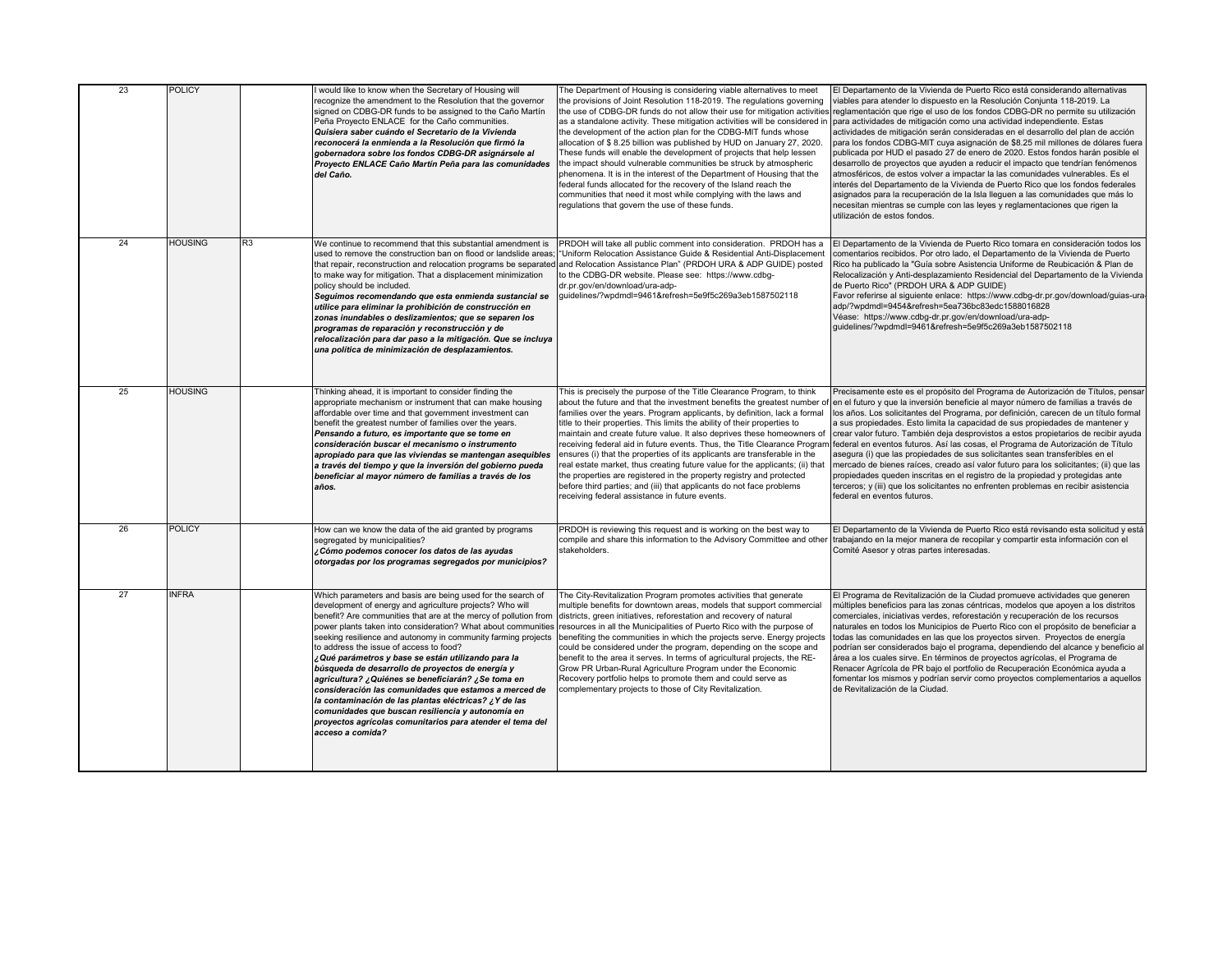| 23 | <b>POLICY</b>  |    | I would like to know when the Secretary of Housing will<br>recognize the amendment to the Resolution that the governor<br>signed on CDBG-DR funds to be assigned to the Caño Martín<br>Peña Proyecto ENLACE for the Caño communities.<br>Quisiera saber cuándo el Secretario de la Vivienda<br>reconocerá la enmienda a la Resolución que firmó la<br>gobernadora sobre los fondos CDBG-DR asignársele al<br>Proyecto ENLACE Caño Martín Peña para las comunidades<br>del Caño.                                                                                                                                                                                                                                                                                                                  | The Department of Housing is considering viable alternatives to meet<br>the provisions of Joint Resolution 118-2019. The regulations governing<br>as a standalone activity. These mitigation activities will be considered in<br>the development of the action plan for the CDBG-MIT funds whose<br>allocation of \$8.25 billion was published by HUD on January 27, 2020.<br>These funds will enable the development of projects that help lessen<br>the impact should vulnerable communities be struck by atmospheric<br>phenomena. It is in the interest of the Department of Housing that the<br>federal funds allocated for the recovery of the Island reach the<br>communities that need it most while complying with the laws and<br>regulations that govern the use of these funds.                                        | El Departamento de la Vivienda de Puerto Rico está considerando alternativas<br>viables para atender lo dispuesto en la Resolución Conjunta 118-2019. La<br>the use of CDBG-DR funds do not allow their use for mitigation activities reglamentación que rige el uso de los fondos CDBG-DR no permite su utilización<br>para actividades de mitigación como una actividad independiente. Estas<br>actividades de mitigación serán consideradas en el desarrollo del plan de acción<br>para los fondos CDBG-MIT cuya asignación de \$8.25 mil millones de dólares fuera<br>publicada por HUD el pasado 27 de enero de 2020. Estos fondos harán posible el<br>desarrollo de proyectos que ayuden a reducir el impacto que tendrían fenómenos<br>atmosféricos, de estos volver a impactar la las comunidades vulnerables. Es el<br>interés del Departamento de la Vivienda de Puerto Rico que los fondos federales<br>asignados para la recuperación de la Isla lleguen a las comunidades que más lo<br>necesitan mientras se cumple con las leyes y reglamentaciones que rigen la<br>utilización de estos fondos. |
|----|----------------|----|--------------------------------------------------------------------------------------------------------------------------------------------------------------------------------------------------------------------------------------------------------------------------------------------------------------------------------------------------------------------------------------------------------------------------------------------------------------------------------------------------------------------------------------------------------------------------------------------------------------------------------------------------------------------------------------------------------------------------------------------------------------------------------------------------|------------------------------------------------------------------------------------------------------------------------------------------------------------------------------------------------------------------------------------------------------------------------------------------------------------------------------------------------------------------------------------------------------------------------------------------------------------------------------------------------------------------------------------------------------------------------------------------------------------------------------------------------------------------------------------------------------------------------------------------------------------------------------------------------------------------------------------|-----------------------------------------------------------------------------------------------------------------------------------------------------------------------------------------------------------------------------------------------------------------------------------------------------------------------------------------------------------------------------------------------------------------------------------------------------------------------------------------------------------------------------------------------------------------------------------------------------------------------------------------------------------------------------------------------------------------------------------------------------------------------------------------------------------------------------------------------------------------------------------------------------------------------------------------------------------------------------------------------------------------------------------------------------------------------------------------------------------------|
| 24 | <b>HOUSING</b> | R3 | We continue to recommend that this substantial amendment is<br>used to remove the construction ban on flood or landslide areas;<br>that repair, reconstruction and relocation programs be separated<br>to make way for mitigation. That a displacement minimization<br>policy should be included.<br>Seguimos recomendando que esta enmienda sustancial se<br>utilice para eliminar la prohibición de construcción en<br>zonas inundables o deslizamientos; que se separen los<br>programas de reparación y reconstrucción y de<br>relocalización para dar paso a la mitigación. Que se incluya<br>una política de minimización de desplazamientos.                                                                                                                                              | PRDOH will take all public comment into consideration. PRDOH has a<br>"Uniform Relocation Assistance Guide & Residential Anti-Displacement<br>and Relocation Assistance Plan" (PRDOH URA & ADP GUIDE) posted<br>to the CDBG-DR website. Please see: https://www.cdbg-<br>dr.pr.gov/en/download/ura-adp-<br>quidelines/?wpdmdl=9461&refresh=5e9f5c269a3eb1587502118                                                                                                                                                                                                                                                                                                                                                                                                                                                                 | El Departamento de la Vivienda de Puerto Rico tomara en consideración todos los<br>comentarios recibidos. Por otro lado, el Departamento de la Vivienda de Puerto<br>Rico ha publicado la "Guía sobre Asistencia Uniforme de Reubicación & Plan de<br>Relocalización y Anti-desplazamiento Residencial del Departamento de la Vivienda<br>de Puerto Rico" (PRDOH URA & ADP GUIDE)<br>Favor referirse al siguiente enlace: https://www.cdbg-dr.pr.gov/download/guias-ura<br>adp/?wpdmdl=9454&refresh=5ea736bc83edc1588016828<br>Véase: https://www.cdbg-dr.pr.gov/en/download/ura-adp-<br>guidelines/?wpdmdl=9461&refresh=5e9f5c269a3eb1587502118                                                                                                                                                                                                                                                                                                                                                                                                                                                                |
| 25 | <b>HOUSING</b> |    | Thinking ahead, it is important to consider finding the<br>appropriate mechanism or instrument that can make housing<br>affordable over time and that government investment can<br>benefit the greatest number of families over the years.<br>Pensando a futuro, es importante que se tome en<br>consideración buscar el mecanismo o instrumento<br>apropiado para que las viviendas se mantengan asequibles<br>a través del tiempo y que la inversión del gobierno pueda<br>beneficiar al mayor número de familias a través de los<br>años.                                                                                                                                                                                                                                                     | This is precisely the purpose of the Title Clearance Program, to think<br>about the future and that the investment benefits the greatest number of<br>families over the years. Program applicants, by definition, lack a formal<br>title to their properties. This limits the ability of their properties to<br>maintain and create future value. It also deprives these homeowners of<br>receiving federal aid in future events. Thus, the Title Clearance Prograr<br>ensures (i) that the properties of its applicants are transferable in the<br>real estate market, thus creating future value for the applicants; (ii) that<br>the properties are registered in the property registry and protected<br>before third parties; and (iii) that applicants do not face problems<br>receiving federal assistance in future events. | Precisamente este es el propósito del Programa de Autorización de Títulos, pensa<br>en el futuro y que la inversión beneficie al mayor número de familias a través de<br>los años. Los solicitantes del Programa, por definición, carecen de un título formal<br>a sus propiedades. Esto limita la capacidad de sus propiedades de mantener y<br>crear valor futuro. También deja desprovistos a estos propietarios de recibir ayuda<br>federal en eventos futuros. Así las cosas, el Programa de Autorización de Título<br>asegura (i) que las propiedades de sus solicitantes sean transferibles en el<br>mercado de bienes raíces, creado así valor futuro para los solicitantes; (ii) que las<br>propiedades queden inscritas en el registro de la propiedad y protegidas ante<br>terceros; y (iii) que los solicitantes no enfrenten problemas en recibir asistencia<br>federal en eventos futuros.                                                                                                                                                                                                        |
| 26 | <b>POLICY</b>  |    | How can we know the data of the aid granted by programs<br>segregated by municipalities?<br>¿Cómo podemos conocer los datos de las ayudas<br>otorgadas por los programas segregados por municipios?                                                                                                                                                                                                                                                                                                                                                                                                                                                                                                                                                                                              | PRDOH is reviewing this request and is working on the best way to<br>compile and share this information to the Advisory Committee and other<br>stakeholders.                                                                                                                                                                                                                                                                                                                                                                                                                                                                                                                                                                                                                                                                       | El Departamento de la Vivienda de Puerto Rico está revisando esta solicitud y está<br>trabajando en la mejor manera de recopilar y compartir esta información con el<br>Comité Asesor y otras partes interesadas.                                                                                                                                                                                                                                                                                                                                                                                                                                                                                                                                                                                                                                                                                                                                                                                                                                                                                               |
| 27 | <b>INFRA</b>   |    | Which parameters and basis are being used for the search of<br>development of energy and agriculture projects? Who will<br>benefit? Are communities that are at the mercy of pollution from<br>power plants taken into consideration? What about communities<br>seeking resilience and autonomy in community farming projects<br>to address the issue of access to food?<br>¿Qué parámetros y base se están utilizando para la<br>búsqueda de desarrollo de proyectos de energía y<br>agricultura? ¿Quiénes se beneficiarán? ¿Se toma en<br>consideración las comunidades que estamos a merced de<br>Ia contaminación de las plantas eléctricas? ¿Y de las<br>comunidades que buscan resiliencia y autonomía en<br>proyectos agrícolas comunitarios para atender el tema del<br>acceso a comida? | The City-Revitalization Program promotes activities that generate<br>multiple benefits for downtown areas, models that support commercial<br>districts, green initiatives, reforestation and recovery of natural<br>resources in all the Municipalities of Puerto Rico with the purpose of<br>benefiting the communities in which the projects serve. Energy projects<br>could be considered under the program, depending on the scope and<br>benefit to the area it serves. In terms of agricultural projects, the RE-<br>Grow PR Urban-Rural Agriculture Program under the Economic<br>Recovery portfolio helps to promote them and could serve as<br>complementary projects to those of City Revitalization.                                                                                                                    | El Programa de Revitalización de la Ciudad promueve actividades que generen<br>múltiples beneficios para las zonas céntricas, modelos que apoyen a los distritos<br>comerciales, iniciativas verdes, reforestación y recuperación de los recursos<br>naturales en todos los Municipios de Puerto Rico con el propósito de beneficiar a<br>todas las comunidades en las que los proyectos sirven. Proyectos de energía<br>podrían ser considerados bajo el programa, dependiendo del alcance y beneficio al<br>área a los cuales sirve. En términos de proyectos agrícolas, el Programa de<br>Renacer Agrícola de PR bajo el portfolio de Recuperación Económica ayuda a<br>fomentar los mismos y podrían servir como proyectos complementarios a aquellos<br>de Revitalización de la Ciudad.                                                                                                                                                                                                                                                                                                                    |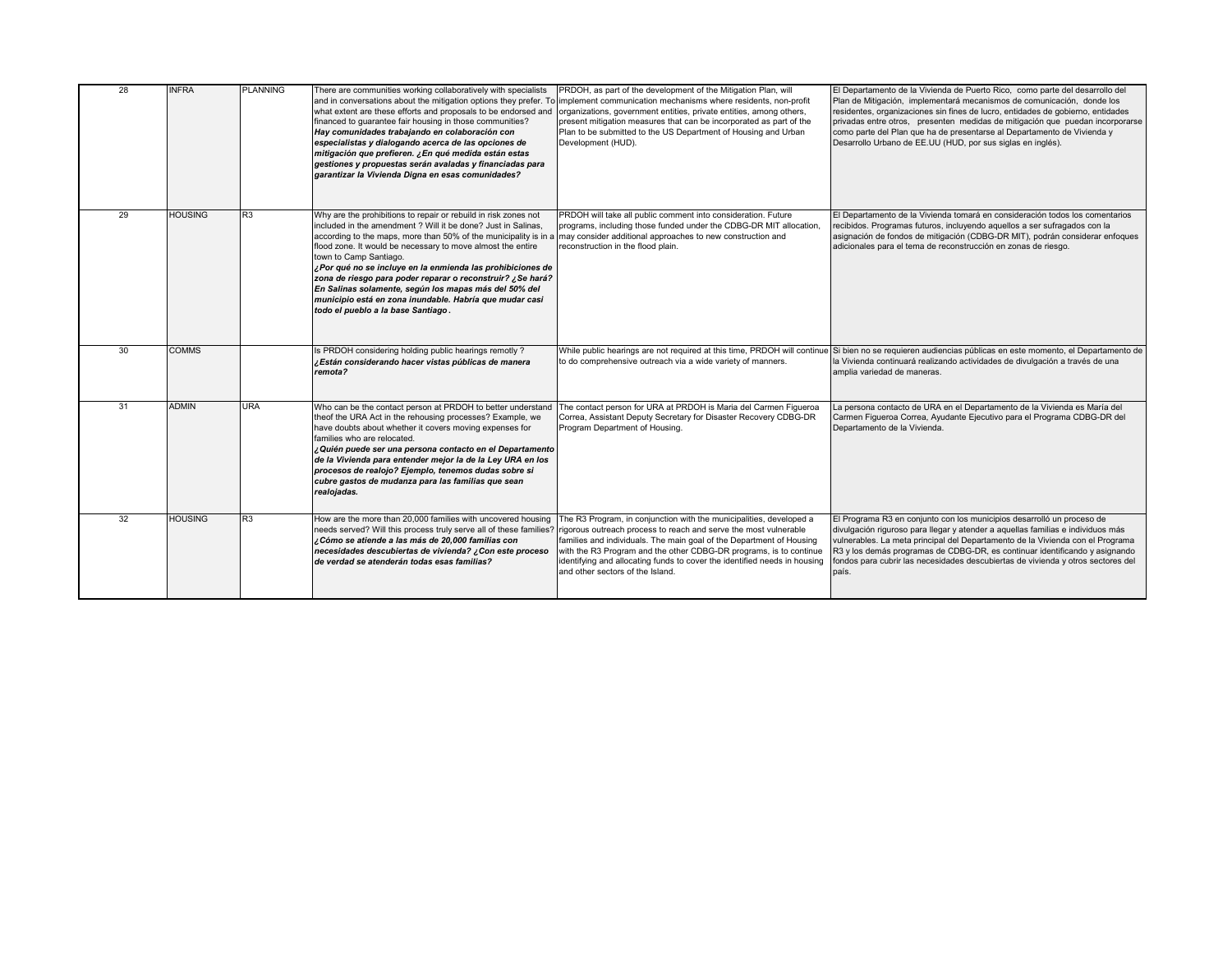| 28 | <b>INFRA</b>   | <b>PLANNING</b> | There are communities working collaboratively with specialists<br>what extent are these efforts and proposals to be endorsed and<br>financed to guarantee fair housing in those communities?<br>Hay comunidades trabajando en colaboración con<br>especialistas y dialogando acerca de las opciones de<br>mitigación que prefieren. ¿En qué medida están estas<br>gestiones y propuestas serán avaladas y financiadas para<br>garantizar la Vivienda Digna en esas comunidades?                                                                                                     | PRDOH, as part of the development of the Mitigation Plan, will<br>and in conversations about the mitigation options they prefer. To implement communication mechanisms where residents, non-profit<br>organizations, government entities, private entities, among others,<br>present mitigation measures that can be incorporated as part of the<br>Plan to be submitted to the US Department of Housing and Urban<br>Development (HUD).                                  | El Departamento de la Vivienda de Puerto Rico, como parte del desarrollo del<br>Plan de Mitigación, implementará mecanismos de comunicación, donde los<br>residentes, organizaciones sin fines de lucro, entidades de gobierno, entidades<br>privadas entre otros, presenten medidas de mitigación que puedan incorporarse<br>como parte del Plan que ha de presentarse al Departamento de Vivienda y<br>Desarrollo Urbano de EE.UU (HUD, por sus siglas en inglés). |
|----|----------------|-----------------|-------------------------------------------------------------------------------------------------------------------------------------------------------------------------------------------------------------------------------------------------------------------------------------------------------------------------------------------------------------------------------------------------------------------------------------------------------------------------------------------------------------------------------------------------------------------------------------|---------------------------------------------------------------------------------------------------------------------------------------------------------------------------------------------------------------------------------------------------------------------------------------------------------------------------------------------------------------------------------------------------------------------------------------------------------------------------|----------------------------------------------------------------------------------------------------------------------------------------------------------------------------------------------------------------------------------------------------------------------------------------------------------------------------------------------------------------------------------------------------------------------------------------------------------------------|
| 29 | <b>HOUSING</b> | R <sub>3</sub>  | Why are the prohibitions to repair or rebuild in risk zones not<br>included in the amendment ? Will it be done? Just in Salinas,<br>according to the maps, more than 50% of the municipality is in a<br>flood zone. It would be necessary to move almost the entire<br>town to Camp Santiago.<br>¿Por qué no se incluye en la enmienda las prohibiciones de<br>zona de riesgo para poder reparar o reconstruir? ¿Se hará?<br>En Salinas solamente, según los mapas más del 50% del<br>municipio está en zona inundable. Habría que mudar casi<br>todo el pueblo a la base Santiago. | PRDOH will take all public comment into consideration. Future<br>programs, including those funded under the CDBG-DR MIT allocation,<br>may consider additional approaches to new construction and<br>reconstruction in the flood plain.                                                                                                                                                                                                                                   | El Departamento de la Vivienda tomará en consideración todos los comentarios<br>recibidos. Programas futuros, incluyendo aquellos a ser sufragados con la<br>asignación de fondos de mitigación (CDBG-DR MIT), podrán considerar enfoques<br>adicionales para el tema de reconstrucción en zonas de riesgo.                                                                                                                                                          |
| 30 | <b>COMMS</b>   |                 | Is PRDOH considering holding public hearings remotly?<br>¿Están considerando hacer vistas públicas de manera<br>remota?                                                                                                                                                                                                                                                                                                                                                                                                                                                             | While public hearings are not required at this time, PRDOH will continue<br>to do comprehensive outreach via a wide variety of manners.                                                                                                                                                                                                                                                                                                                                   | Si bien no se requieren audiencias públicas en este momento, el Departamento de<br>la Vivienda continuará realizando actividades de divulgación a través de una<br>amplia variedad de maneras.                                                                                                                                                                                                                                                                       |
| 31 | <b>ADMIN</b>   | <b>URA</b>      | Who can be the contact person at PRDOH to better understand<br>theof the URA Act in the rehousing processes? Example, we<br>have doubts about whether it covers moving expenses for<br>families who are relocated.<br>¿Quién puede ser una persona contacto en el Departamento<br>de la Vivienda para entender mejor la de la Ley URA en los<br>procesos de realojo? Ejemplo, tenemos dudas sobre si<br>cubre gastos de mudanza para las familias que sean<br>realojadas.                                                                                                           | The contact person for URA at PRDOH is Maria del Carmen Figueroa<br>Correa, Assistant Deputy Secretary for Disaster Recovery CDBG-DR<br>Program Department of Housing.                                                                                                                                                                                                                                                                                                    | La persona contacto de URA en el Departamento de la Vivienda es María del<br>Carmen Figueroa Correa, Ayudante Ejecutivo para el Programa CDBG-DR del<br>Departamento de la Vivienda.                                                                                                                                                                                                                                                                                 |
| 32 | <b>HOUSING</b> | R3              | How are the more than 20,000 families with uncovered housing<br>¿Cómo se atiende a las más de 20,000 familias con<br>necesidades descubiertas de vivienda? ¿Con este proceso<br>de verdad se atenderán todas esas familias?                                                                                                                                                                                                                                                                                                                                                         | The R3 Program, in conjunction with the municipalities, developed a<br>needs served? Will this process truly serve all of these families? rigorous outreach process to reach and serve the most vulnerable<br>families and individuals. The main goal of the Department of Housing<br>with the R3 Program and the other CDBG-DR programs, is to continue<br>identifying and allocating funds to cover the identified needs in housing<br>and other sectors of the Island. | El Programa R3 en conjunto con los municipios desarrolló un proceso de<br>divulgación riguroso para llegar y atender a aquellas familias e individuos más<br>vulnerables. La meta principal del Departamento de la Vivienda con el Programa<br>R3 y los demás programas de CDBG-DR, es continuar identificando y asignando<br>fondos para cubrir las necesidades descubiertas de vivienda y otros sectores del<br>país.                                              |